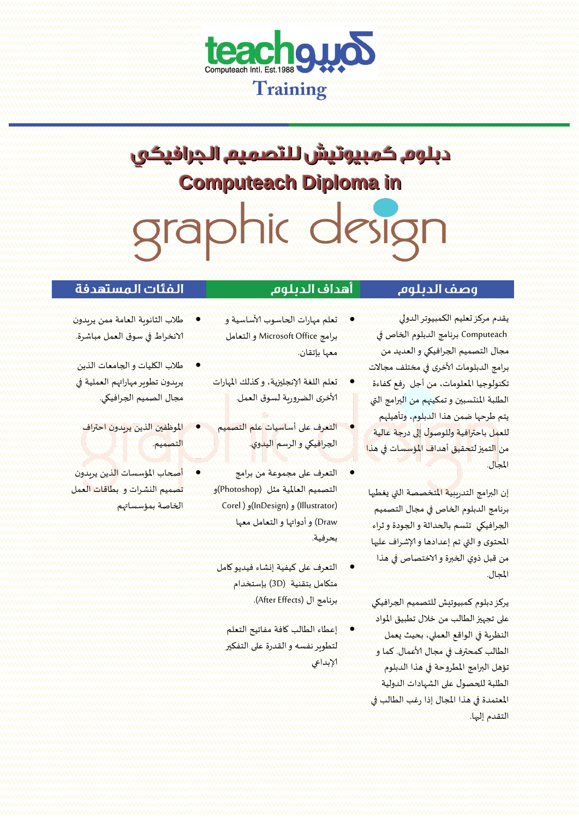

# دبلوم كمبيوتيش للتصميم الجرافيكى **Computeach Diploma in** graphic design

#### وصف الديلوم

 Computeach برنامج الدبلوم الخاص في مجال التصميم الجرافيكي و العديد من برامج الدبلومات ألاخرى في مختلف مجاالت

يقدم مركز تعليم الكمبيوتر الدولي

# أهداف الديلوم

- 
- تعلم مهارات الحاسوب ألاساسية و برامج Office Microsoft و التعامل معها بإتقان.
- تعلم اللغة إلانجليزية، وكذلك املهارات ألاخرى الضرورية لسوق العمل.
- التعرف على أساسيات علم التصميم الجرافيكي و الرسم اليدوي.
- التعرف على مجموعة من برامج التصميم العاملية مثل )Photoshop)و ( (Illustrator) و (InDesign)و ( Corel Draw )و أدواتها و التعامل معها بحرفية.
	- التعرف على كيفية إنشاء فيديو كامل متكامل بتقنية (3D) بإستخدام برنامج ال (After Effects).
		- إعطاء الطالب كافة مفاتيح التعلم لتطويرنفسه والقدرة على التفكير إلابداعي
- الفئات المستهدفة
- طالب الثانوية العامة ممن يريدون الانخراط في سوق العمل مباشرة.
- طالب الكليات و الجامعات الذين يريدون تطويرمهاراتهم العملية في مجال الصميم الجرافيكي.
	- املوظفين الذين يريدون احتراف التصميم.
- أ<mark>صحاب المؤسسات ال</mark>ذين يريدون تصميم النشرات و بطاقات العمل الخاصة بمؤسساتهم
- تكنولوجيا املعلومات، من أجل رفع كفاءة الطلبة المنت*سبين و* تمكينهم من البرامج التي يتم طرحها ضمن هذا الدبلوم، وتأهيلهم للعمل باحترافية وللوصول إلى درجة عالية من التميز لتحقيق أهداف المؤسسات في هذا املجال. إن البرامج التدريبية املتخصصة التي يغطيها برنامج الدبلوم الخاص في مجال التصميم الجرافيكي تتسم بالحداثة و الجودة و ثراء املحتوى والتي تم إعدادها وإلاشراف عليها
	- من قبل ذوي الخبرة والاختصاص في هذا املجال.

يركز دبلوم كمبيوتيش للتصميم الجرافيكي على تجهيز الطالب من خالل تطبيق املواد النظرية في الواقع العملي، بحيث يعمل الطالب كمحترف في مجال ألاعمال. كما و تؤهل البرامج املطروحة في هذا الدبلوم الطلبة للحصول على الشهادات الدولية املعتمدة في هذا املجال إذا رغب الطالب في التقدم إليها.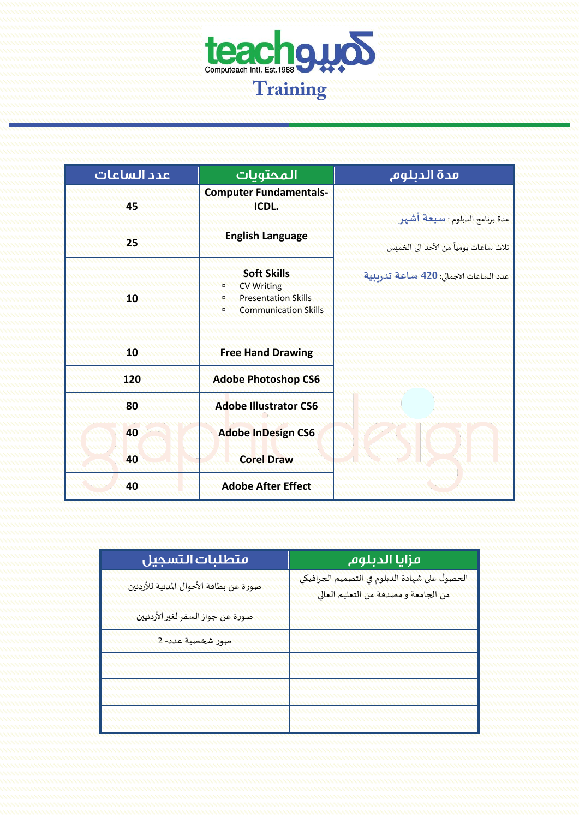

| عدد الساعات | المحتويات                                                                                                           | مدة الدبلوم                              |
|-------------|---------------------------------------------------------------------------------------------------------------------|------------------------------------------|
| 45          | <b>Computer Fundamentals-</b><br><b>ICDL:</b>                                                                       | مدة برنامج الدبلوم : سبعة أشهر           |
| 25          | <b>English Language</b>                                                                                             | ثلاث ساعات يومياً من الأحد الى الخميس    |
| 10          | <b>Soft Skills</b><br><b>CV Writing</b><br>o<br><b>Presentation Skills</b><br>o<br><b>Communication Skills</b><br>o | عدد الساعات الاجمالي: 420 سـاعـة تدريبية |
| 10          | <b>Free Hand Drawing</b>                                                                                            |                                          |
| 120         | <b>Adobe Photoshop CS6</b>                                                                                          |                                          |
| 80          | <b>Adobe Illustrator CS6</b>                                                                                        |                                          |
| 40          | <b>Adobe InDesign CS6</b>                                                                                           |                                          |
| 40          | <b>Corel Draw</b>                                                                                                   |                                          |
| 40          | <b>Adobe After Effect</b>                                                                                           |                                          |

| متطلبات التسجيل                        | مزايا الدبلوم                                                                        |
|----------------------------------------|--------------------------------------------------------------------------------------|
| صورة عن بطاقة الأحوال المدنية للأردنين | الحصول على شهادة الدبلوم في التصميم الجرافيكي<br>من الجامعة ومصدقة من التعليم العالي |
| صورة عن جواز السفر لغير الأردنيين      |                                                                                      |
| <mark>صور شخصية عدد- 2</mark>          |                                                                                      |
|                                        |                                                                                      |
|                                        |                                                                                      |
|                                        |                                                                                      |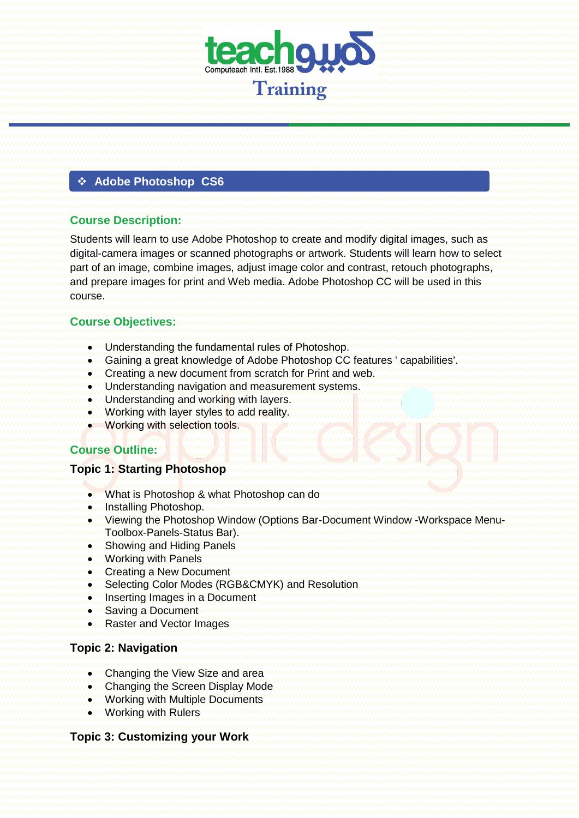

#### $\div$  **Adobe Photoshop CS6**

#### **Course Description:**

Students will learn to use Adobe Photoshop to create and modify digital images, such as digital-camera images or scanned photographs or artwork. Students will learn how to select part of an image, combine images, adjust image color and contrast, retouch photographs, and prepare images for print and Web media. Adobe Photoshop CC will be used in this course.

## **Course Objectives:**

- Understanding the fundamental rules of Photoshop.
- Gaining a great knowledge of Adobe Photoshop CC features ' capabilities'.
- **Creating a new document from scratch for Print and web.**
- **.** Understanding navigation and measurement systems.
- Understanding and working with layers.
- **Working with layer styles to add reality.**
- Working with selection tools.

## **Course Outline:**

#### **Topic 1: Starting Photoshop**

- What is Photoshop & what Photoshop can do
- **Installing Photoshop.**
- Viewing the Photoshop Window (Options Bar-Document Window -Workspace Menu-Toolbox-Panels-Status Bar).
- Showing and Hiding Panels
- Working with Panels
- Creating a New Document
- **Selecting Color Modes (RGB&CMYK) and Resolution**
- **.** Inserting Images in a Document
- Saving a Document
- Raster and Vector Images

#### **Topic 2: Navigation**

- Changing the View Size and area
- Changing the Screen Display Mode
- **Working with Multiple Documents**
- Working with Rulers

## **Topic 3: Customizing your Work**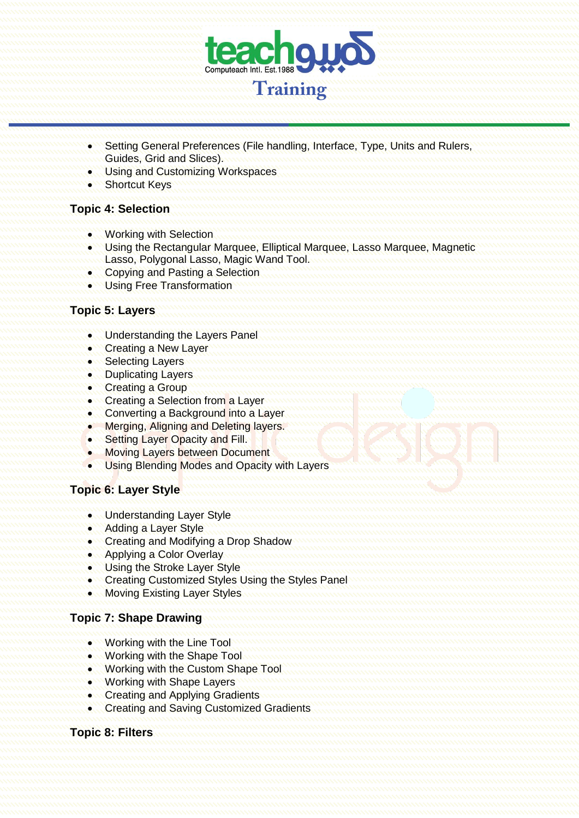

- Setting General Preferences (File handling, Interface, Type, Units and Rulers, Guides, Grid and Slices).
- Using and Customizing Workspaces
- **Shortcut Keys**

## **Topic 4: Selection**

- Working with Selection
- Using the Rectangular Marquee, Elliptical Marquee, Lasso Marquee, Magnetic Lasso, Polygonal Lasso, Magic Wand Tool.
- Copying and Pasting a Selection
- **. Using Free Transformation**

## **Topic 5: Layers**

- Understanding the Layers Panel
- **Creating a New Laver**
- Selecting Layers
- Duplicating Layers
- **Creating a Group**
- Creating a Selection from a Layer
- Converting a Background into a Layer
- **Merging, Aligning and Deleting layers.**
- Setting Layer Opacity and Fill.
- Moving Layers between Document
- **Using Blending Modes and Opacity with Layers**

## **Topic 6: Layer Style**

- Understanding Layer Style
- Adding a Layer Style
- Creating and Modifying a Drop Shadow
- Applying a Color Overlay
- **. Using the Stroke Layer Style**
- Creating Customized Styles Using the Styles Panel
- Moving Existing Layer Styles

## **Topic 7: Shape Drawing**

- Working with the Line Tool
- Working with the Shape Tool
- **.** Working with the Custom Shape Tool
- Working with Shape Layers
- Creating and Applying Gradients
- **Creating and Saving Customized Gradients**

## **Topic 8: Filters**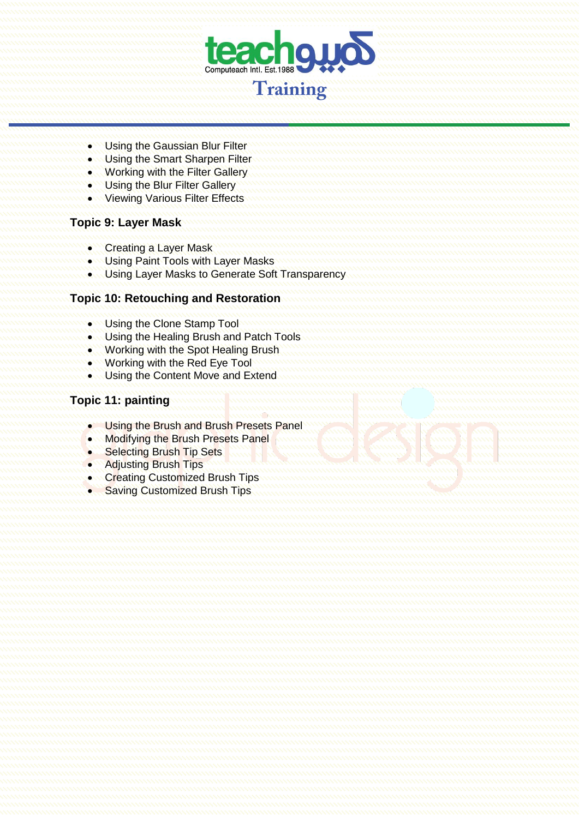

- **WE Using the Gaussian Blur Filter**
- **.** Using the Smart Sharpen Filter
- Working with the Filter Gallery
- **. Using the Blur Filter Gallery**
- **Viewing Various Filter Effects**

#### **Topic 9: Layer Mask**

- Creating a Layer Mask
- **Using Paint Tools with Layer Masks**
- Using Layer Masks to Generate Soft Transparency

#### **Topic 10: Retouching and Restoration**

- **.** Using the Clone Stamp Tool
- **Using the Healing Brush and Patch Tools**
- **.** Working with the Spot Healing Brush
- **.** Working with the Red Eye Tool
- Using the Content Move and Extend

## **Topic 11: painting**

- **.** Using the Brush and Brush Presets Panel
- Modifying the Brush Presets Panel
- Selecting Brush Tip Sets
- Adjusting Brush Tips
- Creating Customized Brush Tips
- Saving Customized Brush Tips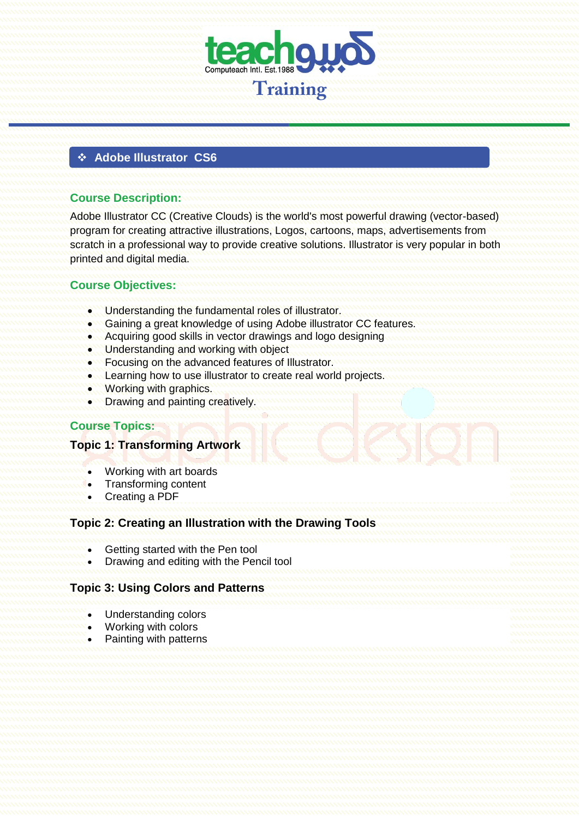

## **Adobe Illustrator CS6**

#### **Course Description:**

Adobe Illustrator CC (Creative Clouds) is the world's most powerful drawing (vector-based) program for creating attractive illustrations, Logos, cartoons, maps, advertisements from scratch in a professional way to provide creative solutions. Illustrator is very popular in both printed and digital media.

## **Course Objectives:**

- **.** Understanding the fundamental roles of illustrator.
- Gaining a great knowledge of using Adobe illustrator CC features.
- Acquiring good skills in vector drawings and logo designing
- **. Understanding and working with object**
- Focusing on the advanced features of Illustrator.
- Learning how to use illustrator to create real world projects.
- Working with graphics.
- Drawing and painting creatively.

## **Course Topics:**

#### **Topic 1: Transforming Artwork**

- Working with art boards
- Transforming content
- Creating a PDF

## **Topic 2: Creating an Illustration with the Drawing Tools**

- Getting started with the Pen tool
- Drawing and editing with the Pencil tool

## **Topic 3: Using Colors and Patterns**

- Understanding colors
- Working with colors
- Painting with patterns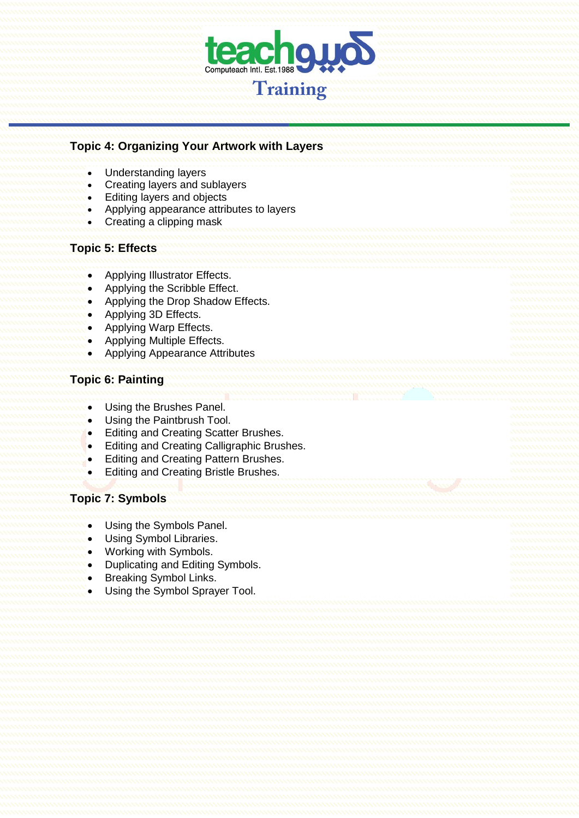

## **Topic 4: Organizing Your Artwork with Layers**

- Understanding layers
- Creating layers and sublayers
- Editing layers and objects
- Applying appearance attributes to layers
- Creating a clipping mask

#### **Topic 5: Effects**

- Applying Illustrator Effects.
- Applying the Scribble Effect.
- Applying the Drop Shadow Effects.
- Applying 3D Effects.
- Applying Warp Effects.
- Applying Multiple Effects.
- Applying Appearance Attributes

## **Topic 6: Painting**

- Using the Brushes Panel.
- Using the Paintbrush Tool.
- **•** Editing and Creating Scatter Brushes.
- **•** Editing and Creating Calligraphic Brushes.
- Editing and Creating Pattern Brushes.
- **•** Editing and Creating Bristle Brushes.

## **Topic 7: Symbols**

- Using the Symbols Panel.
- Using Symbol Libraries.
- Working with Symbols.
- Duplicating and Editing Symbols.
- Breaking Symbol Links.
- Using the Symbol Sprayer Tool.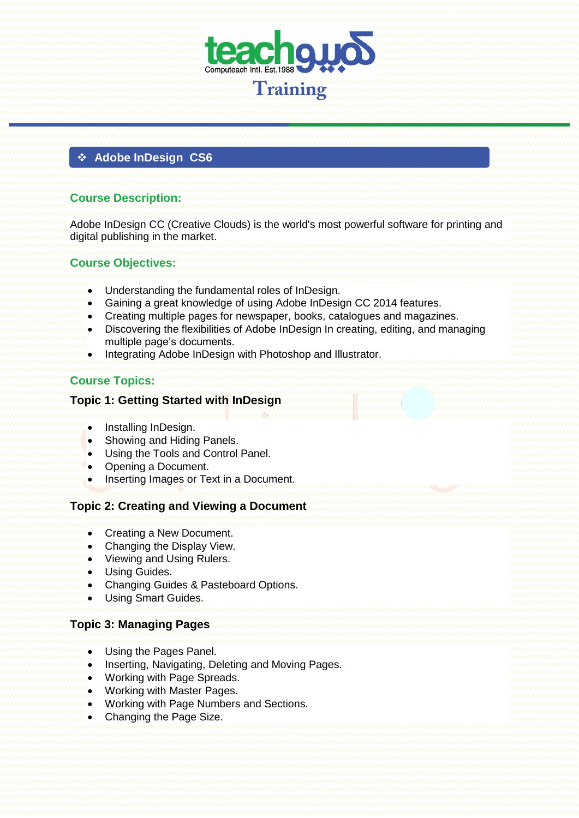

## **Adobe InDesign CS6**

## **Course Description:**

Adobe InDesign CC (Creative Clouds) is the world's most powerful software for printing and digital publishing in the market.

#### **Course Objectives:**

- Understanding the fundamental roles of InDesign.
- Gaining a great knowledge of using Adobe InDesign CC 2014 features.
- Creating multiple pages for newspaper, books, catalogues and magazines.
- Discovering the flexibilities of Adobe InDesign In creating, editing, and managing multiple page's documents.
- Integrating Adobe InDesign with Photoshop and Illustrator.

## **Course Topics:**

#### **Topic 1: Getting Started with InDesign**

- Installing InDesign.
- Showing and Hiding Panels.
- Using the Tools and Control Panel.
- Opening a Document.
- Inserting Images or Text in a Document.

#### **Topic 2: Creating and Viewing a Document**

- Creating a New Document.
- Changing the Display View.
- Viewing and Using Rulers.
- Using Guides.
- Changing Guides & Pasteboard Options.
- Using Smart Guides.

## **Topic 3: Managing Pages**

- Using the Pages Panel.
- Inserting, Navigating, Deleting and Moving Pages.
- Working with Page Spreads.
- Working with Master Pages.
- Working with Page Numbers and Sections.
- Changing the Page Size.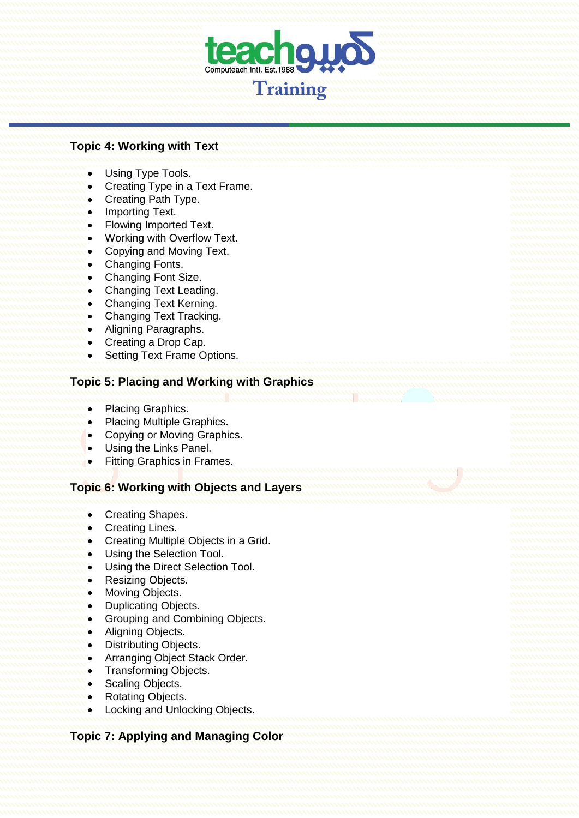

#### **Topic 4: Working with Text**

- Using Type Tools.
- Creating Type in a Text Frame.
- Creating Path Type.
- Importing Text.
- Flowing Imported Text.
- Working with Overflow Text.
- Copying and Moving Text.
- Changing Fonts.
- Changing Font Size.
- Changing Text Leading.
- Changing Text Kerning.
- Changing Text Tracking.
- Aligning Paragraphs.
- Creating a Drop Cap.
- Setting Text Frame Options.

## **Topic 5: Placing and Working with Graphics**

- Placing Graphics.
- Placing Multiple Graphics.
- Copying or Moving Graphics.
- Using the Links Panel.
- Fitting Graphics in Frames.

#### **Topic 6: Working with Objects and Layers**

- Creating Shapes.
- Creating Lines.
- Creating Multiple Objects in a Grid.
- Using the Selection Tool.
- Using the Direct Selection Tool.
- Resizing Objects.
- Moving Objects.
- Duplicating Objects.
- Grouping and Combining Objects.
- Aligning Objects.
- Distributing Objects.
- Arranging Object Stack Order.
- Transforming Objects.
- Scaling Objects.
- Rotating Objects.
- Locking and Unlocking Objects.

## **Topic 7: Applying and Managing Color**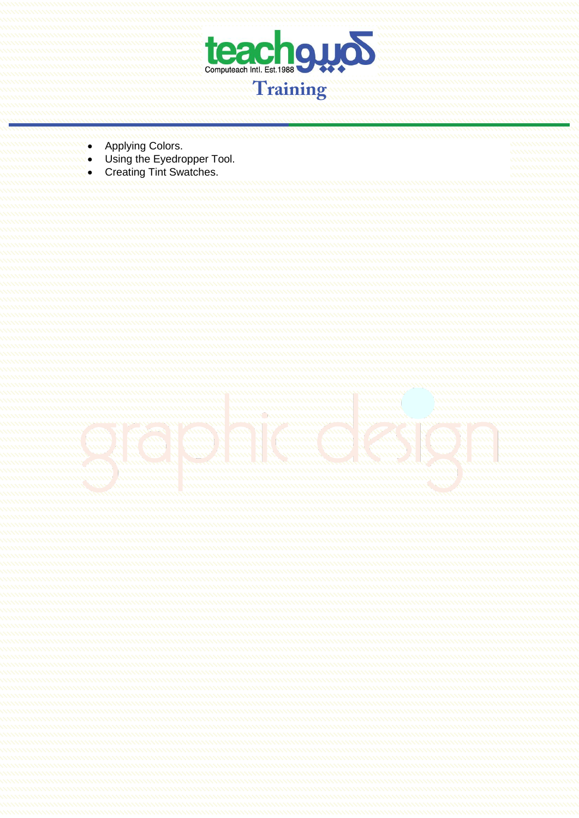

- Applying Colors.
- Using the Eyedropper Tool.
- Creating Tint Swatches.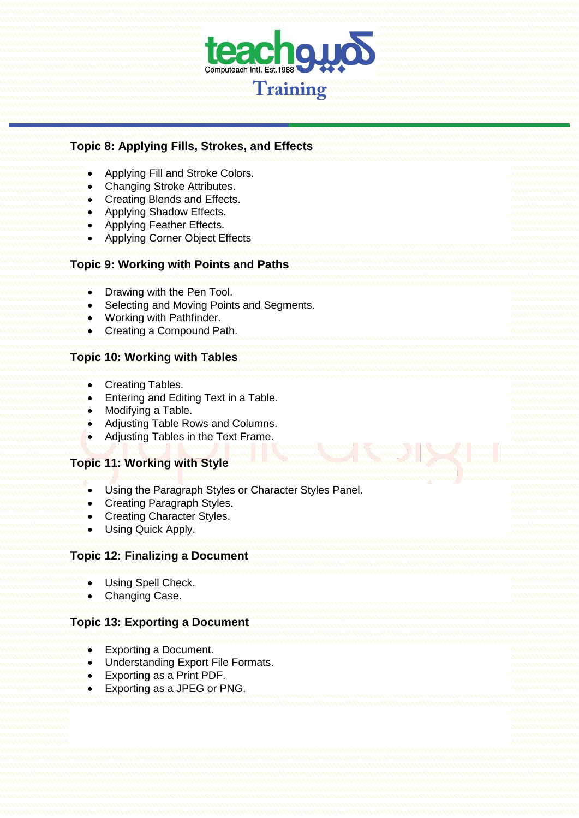

| <b>Topic 8: Applying Fills, Strokes, and Effects</b>                                                                                                                                       |  |
|--------------------------------------------------------------------------------------------------------------------------------------------------------------------------------------------|--|
| Applying Fill and Stroke Colors.<br>Changing Stroke Attributes.<br>Creating Blends and Effects.<br>Applying Shadow Effects.<br>Applying Feather Effects.<br>Applying Corner Object Effects |  |
| <b>Topic 9: Working with Points and Paths</b>                                                                                                                                              |  |
| Drawing with the Pen Tool.<br>Selecting and Moving Points and Segments.<br>Working with Pathfinder.<br>Creating a Compound Path.                                                           |  |
| <b>Topic 10: Working with Tables</b>                                                                                                                                                       |  |
| <b>Creating Tables.</b><br>Entering and Editing Text in a Table.<br>Modifying a Table.<br>Adjusting Table Rows and Columns.<br>Adjusting Tables in the Text Frame.                         |  |
| <b>Topic 11: Working with Style</b>                                                                                                                                                        |  |
| Using the Paragraph Styles or Character Styles Panel.<br><b>Creating Paragraph Styles.</b><br><b>Creating Character Styles.</b><br>Using Quick Apply.                                      |  |
| <b>Topic 12: Finalizing a Document</b>                                                                                                                                                     |  |
| Using Spell Check.<br>Changing Case.                                                                                                                                                       |  |
| <b>Topic 13: Exporting a Document</b>                                                                                                                                                      |  |
| <b>Exporting a Document.</b><br>Understanding Export File Formats.                                                                                                                         |  |
| Exporting as a Print PDF.<br>Exporting as a JPEG or PNG.                                                                                                                                   |  |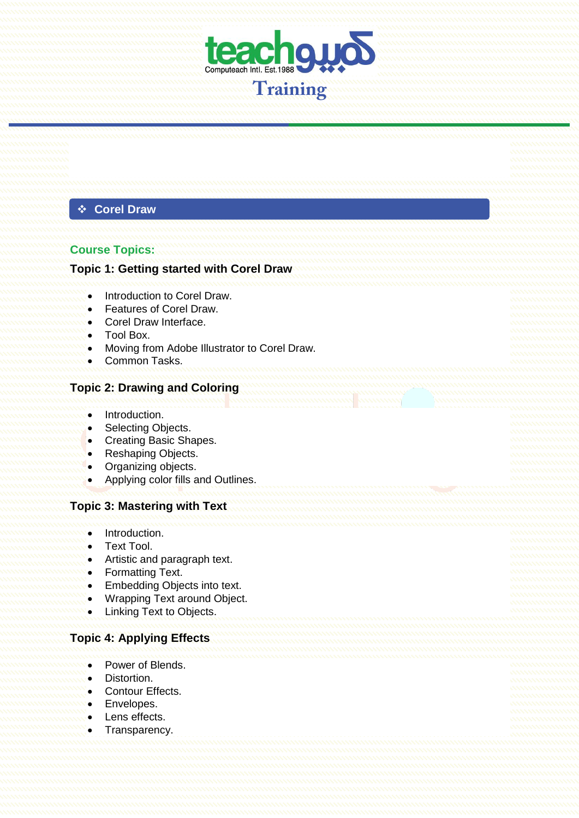

## **Corel Draw**

#### **Course Topics:**

## **Topic 1: Getting started with Corel Draw**

- Introduction to Corel Draw.
- **•** Features of Corel Draw
- Corel Draw Interface.
- Tool Box.
- Moving from Adobe Illustrator to Corel Draw.
- Common Tasks.

#### **Topic 2: Drawing and Coloring**

- Introduction.
- Selecting Objects.
- Creating Basic Shapes.
- Reshaping Objects.
- Organizing objects.
- Applying color fills and Outlines.

#### **Topic 3: Mastering with Text**

- $\bullet$  Introduction.
- Text Tool.
- Artistic and paragraph text.
- Formatting Text.
- Embedding Objects into text.
- Wrapping Text around Object.
- Linking Text to Objects.

## **Topic 4: Applying Effects**

- Power of Blends.
- Distortion.
- Contour Effects.
- Envelopes.
- Lens effects.
- Transparency.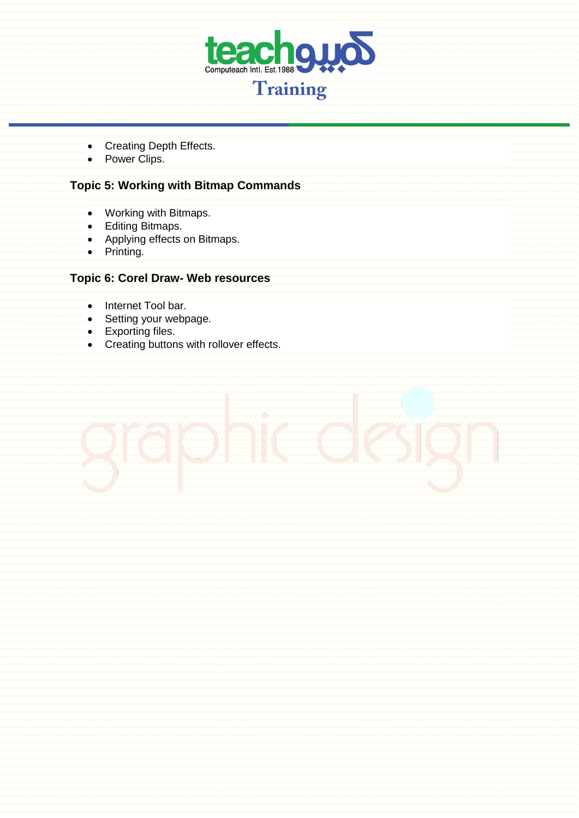

- Creating Depth Effects.
- Power Clips.

## **Topic 5: Working with Bitmap Commands**

- Working with Bitmaps.
- Editing Bitmaps.
- Applying effects on Bitmaps.
- Printing.

## **Topic 6: Corel Draw- Web resources**

- Internet Tool bar.
- Setting your webpage.
- Exporting files.
- Creating buttons with rollover effects.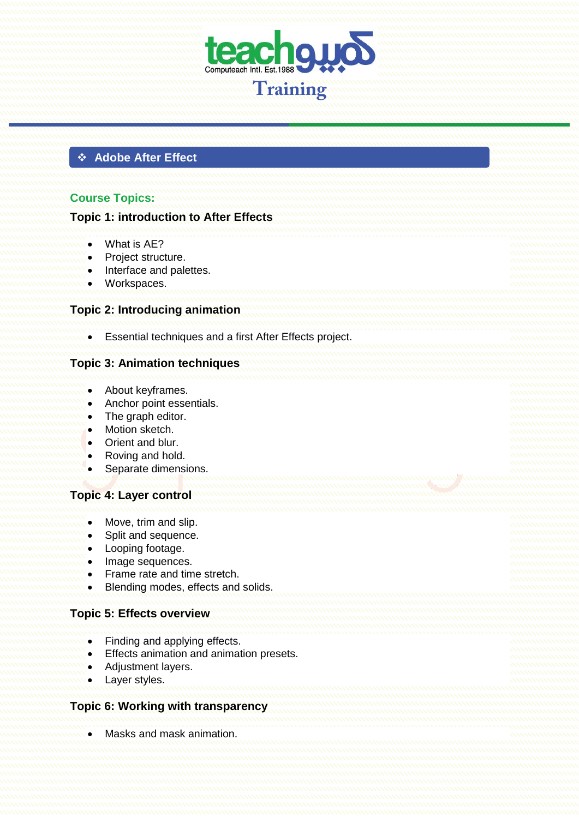

## **Adobe After Effect**

## **Course Topics:**

#### **Topic 1: introduction to After Effects**

- What is AE?
- Project structure.
- Interface and palettes.
- Workspaces.

#### **Topic 2: Introducing animation**

Essential techniques and a first After Effects project.

#### **Topic 3: Animation techniques**

- About keyframes.
- Anchor point essentials.
- The graph editor.
- Motion sketch.
- Orient and blur.
- Roving and hold.
- Separate dimensions.

#### **Topic 4: Layer control**

- Move, trim and slip.
- Split and sequence.
- Looping footage.
- Image sequences.
- Frame rate and time stretch.
- Blending modes, effects and solids.

#### **Topic 5: Effects overview**

- Finding and applying effects.
- Effects animation and animation presets.
- Adjustment layers.
- Layer styles.

#### **Topic 6: Working with transparency**

Masks and mask animation.